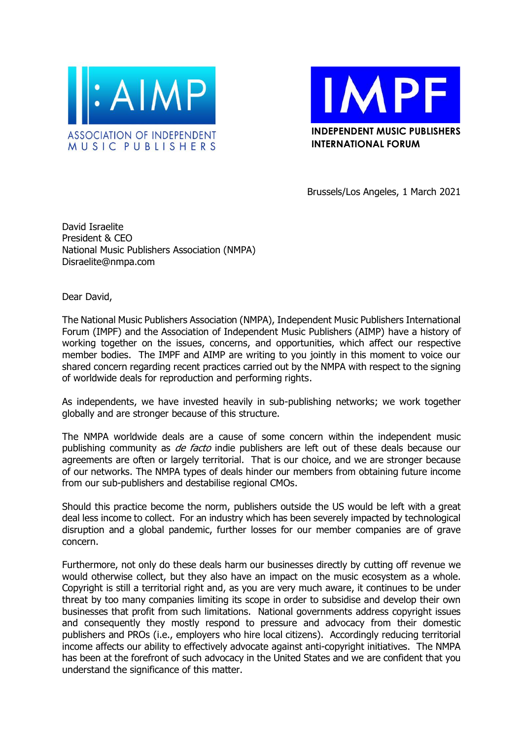



Brussels/Los Angeles, 1 March 2021

David Israelite President & CEO National Music Publishers Association (NMPA) Disraelite@nmpa.com

Dear David,

The National Music Publishers Association (NMPA), Independent Music Publishers International Forum (IMPF) and the Association of Independent Music Publishers (AIMP) have a history of working together on the issues, concerns, and opportunities, which affect our respective member bodies. The IMPF and AIMP are writing to you jointly in this moment to voice our shared concern regarding recent practices carried out by the NMPA with respect to the signing of worldwide deals for reproduction and performing rights.

As independents, we have invested heavily in sub-publishing networks; we work together globally and are stronger because of this structure.

The NMPA worldwide deals are a cause of some concern within the independent music publishing community as *de facto* indie publishers are left out of these deals because our agreements are often or largely territorial. That is our choice, and we are stronger because of our networks. The NMPA types of deals hinder our members from obtaining future income from our sub-publishers and destabilise regional CMOs.

Should this practice become the norm, publishers outside the US would be left with a great deal less income to collect. For an industry which has been severely impacted by technological disruption and a global pandemic, further losses for our member companies are of grave concern.

Furthermore, not only do these deals harm our businesses directly by cutting off revenue we would otherwise collect, but they also have an impact on the music ecosystem as a whole. Copyright is still a territorial right and, as you are very much aware, it continues to be under threat by too many companies limiting its scope in order to subsidise and develop their own businesses that profit from such limitations. National governments address copyright issues and consequently they mostly respond to pressure and advocacy from their domestic publishers and PROs (i.e., employers who hire local citizens). Accordingly reducing territorial income affects our ability to effectively advocate against anti-copyright initiatives. The NMPA has been at the forefront of such advocacy in the United States and we are confident that you understand the significance of this matter.